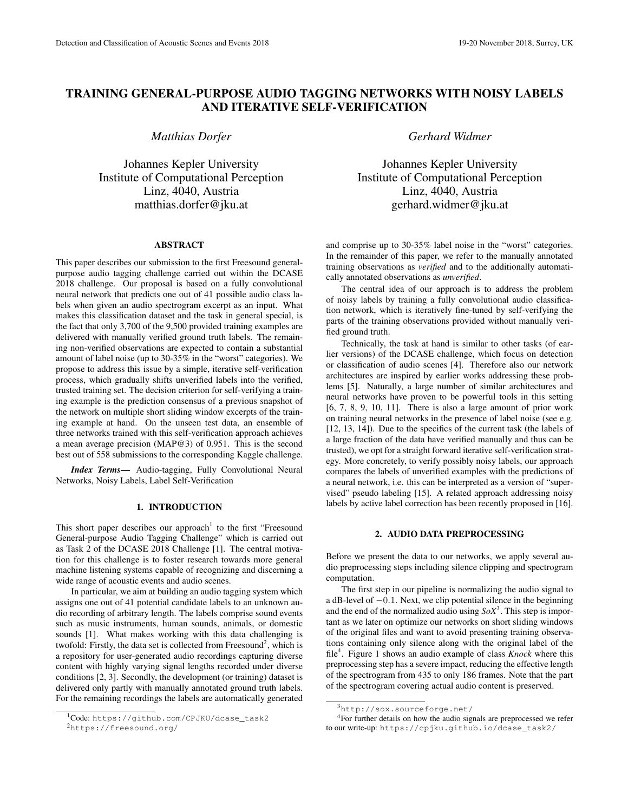# TRAINING GENERAL-PURPOSE AUDIO TAGGING NETWORKS WITH NOISY LABELS AND ITERATIVE SELF-VERIFICATION

*Matthias Dorfer*

Johannes Kepler University Institute of Computational Perception Linz, 4040, Austria matthias.dorfer@jku.at

### ABSTRACT

This paper describes our submission to the first Freesound generalpurpose audio tagging challenge carried out within the DCASE 2018 challenge. Our proposal is based on a fully convolutional neural network that predicts one out of 41 possible audio class labels when given an audio spectrogram excerpt as an input. What makes this classification dataset and the task in general special, is the fact that only 3,700 of the 9,500 provided training examples are delivered with manually verified ground truth labels. The remaining non-verified observations are expected to contain a substantial amount of label noise (up to 30-35% in the "worst" categories). We propose to address this issue by a simple, iterative self-verification process, which gradually shifts unverified labels into the verified, trusted training set. The decision criterion for self-verifying a training example is the prediction consensus of a previous snapshot of the network on multiple short sliding window excerpts of the training example at hand. On the unseen test data, an ensemble of three networks trained with this self-verification approach achieves a mean average precision (MAP@3) of 0.951. This is the second best out of 558 submissions to the corresponding Kaggle challenge.

*Index Terms*— Audio-tagging, Fully Convolutional Neural Networks, Noisy Labels, Label Self-Verification

## 1. INTRODUCTION

This short paper describes our approach<sup>1</sup> to the first "Freesound General-purpose Audio Tagging Challenge" which is carried out as Task 2 of the DCASE 2018 Challenge [1]. The central motivation for this challenge is to foster research towards more general machine listening systems capable of recognizing and discerning a wide range of acoustic events and audio scenes.

In particular, we aim at building an audio tagging system which assigns one out of 41 potential candidate labels to an unknown audio recording of arbitrary length. The labels comprise sound events such as music instruments, human sounds, animals, or domestic sounds [1]. What makes working with this data challenging is twofold: Firstly, the data set is collected from Freesound<sup>2</sup>, which is a repository for user-generated audio recordings capturing diverse content with highly varying signal lengths recorded under diverse conditions [2, 3]. Secondly, the development (or training) dataset is delivered only partly with manually annotated ground truth labels. For the remaining recordings the labels are automatically generated *Gerhard Widmer*

Johannes Kepler University Institute of Computational Perception Linz, 4040, Austria gerhard.widmer@jku.at

and comprise up to 30-35% label noise in the "worst" categories. In the remainder of this paper, we refer to the manually annotated training observations as *verified* and to the additionally automatically annotated observations as *unverified*.

The central idea of our approach is to address the problem of noisy labels by training a fully convolutional audio classification network, which is iteratively fine-tuned by self-verifying the parts of the training observations provided without manually verified ground truth.

Technically, the task at hand is similar to other tasks (of earlier versions) of the DCASE challenge, which focus on detection or classification of audio scenes [4]. Therefore also our network architectures are inspired by earlier works addressing these problems [5]. Naturally, a large number of similar architectures and neural networks have proven to be powerful tools in this setting [6, 7, 8, 9, 10, 11]. There is also a large amount of prior work on training neural networks in the presence of label noise (see e.g. [12, 13, 14]). Due to the specifics of the current task (the labels of a large fraction of the data have verified manually and thus can be trusted), we opt for a straight forward iterative self-verification strategy. More concretely, to verify possibly noisy labels, our approach compares the labels of unverified examples with the predictions of a neural network, i.e. this can be interpreted as a version of "supervised" pseudo labeling [15]. A related approach addressing noisy labels by active label correction has been recently proposed in [16].

## 2. AUDIO DATA PREPROCESSING

Before we present the data to our networks, we apply several audio preprocessing steps including silence clipping and spectrogram computation.

The first step in our pipeline is normalizing the audio signal to a dB-level of −0.1. Next, we clip potential silence in the beginning and the end of the normalized audio using  $SoX<sup>3</sup>$ . This step is important as we later on optimize our networks on short sliding windows of the original files and want to avoid presenting training observations containing only silence along with the original label of the file<sup>4</sup> . Figure 1 shows an audio example of class *Knock* where this preprocessing step has a severe impact, reducing the effective length of the spectrogram from 435 to only 186 frames. Note that the part of the spectrogram covering actual audio content is preserved.

<sup>1</sup>Code: https://github.com/CPJKU/dcase\_task2 <sup>2</sup>https://freesound.org/

<sup>3</sup>http://sox.sourceforge.net/

<sup>4</sup>For further details on how the audio signals are preprocessed we refer to our write-up: https://cpjku.github.io/dcase\_task2/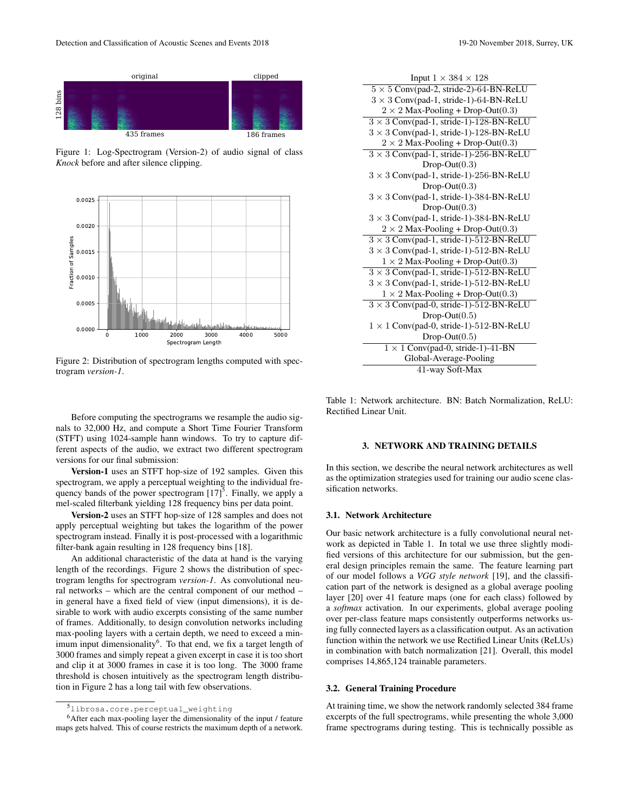

Figure 1: Log-Spectrogram (Version-2) of audio signal of class *Knock* before and after silence clipping.



Figure 2: Distribution of spectrogram lengths computed with spectrogram *version-1*.

Before computing the spectrograms we resample the audio signals to 32,000 Hz, and compute a Short Time Fourier Transform (STFT) using 1024-sample hann windows. To try to capture different aspects of the audio, we extract two different spectrogram versions for our final submission:

Version-1 uses an STFT hop-size of 192 samples. Given this spectrogram, we apply a perceptual weighting to the individual frequency bands of the power spectrogram  $[17]$ <sup>5</sup>. Finally, we apply a mel-scaled filterbank yielding 128 frequency bins per data point.

Version-2 uses an STFT hop-size of 128 samples and does not apply perceptual weighting but takes the logarithm of the power spectrogram instead. Finally it is post-processed with a logarithmic filter-bank again resulting in 128 frequency bins [18].

An additional characteristic of the data at hand is the varying length of the recordings. Figure 2 shows the distribution of spectrogram lengths for spectrogram *version-1*. As convolutional neural networks – which are the central component of our method – in general have a fixed field of view (input dimensions), it is desirable to work with audio excerpts consisting of the same number of frames. Additionally, to design convolution networks including max-pooling layers with a certain depth, we need to exceed a minimum input dimensionality<sup>6</sup>. To that end, we fix a target length of 3000 frames and simply repeat a given excerpt in case it is too short and clip it at 3000 frames in case it is too long. The 3000 frame threshold is chosen intuitively as the spectrogram length distribution in Figure 2 has a long tail with few observations.

| Input $1 \times 384 \times 128$                |
|------------------------------------------------|
| $5 \times 5$ Conv(pad-2, stride-2)-64-BN-ReLU  |
| $3 \times 3$ Conv(pad-1, stride-1)-64-BN-ReLU  |
| $2 \times 2$ Max-Pooling + Drop-Out(0.3)       |
| $3 \times 3$ Conv(pad-1, stride-1)-128-BN-ReLU |
| $3 \times 3$ Conv(pad-1, stride-1)-128-BN-ReLU |
| $2 \times 2$ Max-Pooling + Drop-Out(0.3)       |
| $3 \times 3$ Conv(pad-1, stride-1)-256-BN-ReLU |
| $Drop-Out(0.3)$                                |
| $3 \times 3$ Conv(pad-1, stride-1)-256-BN-ReLU |
| $Drop-Out(0.3)$                                |
| $3 \times 3$ Conv(pad-1, stride-1)-384-BN-ReLU |
| $Drop-Out(0.3)$                                |
| $3 \times 3$ Conv(pad-1, stride-1)-384-BN-ReLU |
| $2 \times 2$ Max-Pooling + Drop-Out(0.3)       |
| $3 \times 3$ Conv(pad-1, stride-1)-512-BN-ReLU |
| $3 \times 3$ Conv(pad-1, stride-1)-512-BN-ReLU |
| $1 \times 2$ Max-Pooling + Drop-Out(0.3)       |
| $3 \times 3$ Conv(pad-1, stride-1)-512-BN-ReLU |
| $3 \times 3$ Conv(pad-1, stride-1)-512-BN-ReLU |
| $1 \times 2$ Max-Pooling + Drop-Out(0.3)       |
| $3 \times 3$ Conv(pad-0, stride-1)-512-BN-ReLU |
| $Drop-Out(0.5)$                                |
| $1 \times 1$ Conv(pad-0, stride-1)-512-BN-ReLU |
| $Drop-Out(0.5)$                                |
| $1 \times 1$ Conv(pad-0, stride-1)-41-BN       |
| Global-Average-Pooling                         |
| 41-way Soft-Max                                |
|                                                |

Table 1: Network architecture. BN: Batch Normalization, ReLU: Rectified Linear Unit.

## 3. NETWORK AND TRAINING DETAILS

In this section, we describe the neural network architectures as well as the optimization strategies used for training our audio scene classification networks.

## 3.1. Network Architecture

Our basic network architecture is a fully convolutional neural network as depicted in Table 1. In total we use three slightly modified versions of this architecture for our submission, but the general design principles remain the same. The feature learning part of our model follows a *VGG style network* [19], and the classification part of the network is designed as a global average pooling layer [20] over 41 feature maps (one for each class) followed by a *softmax* activation. In our experiments, global average pooling over per-class feature maps consistently outperforms networks using fully connected layers as a classification output. As an activation function within the network we use Rectified Linear Units (ReLUs) in combination with batch normalization [21]. Overall, this model comprises 14,865,124 trainable parameters.

## 3.2. General Training Procedure

At training time, we show the network randomly selected 384 frame excerpts of the full spectrograms, while presenting the whole 3,000 frame spectrograms during testing. This is technically possible as

<sup>5</sup>librosa.core.perceptual\_weighting

<sup>6</sup>After each max-pooling layer the dimensionality of the input / feature maps gets halved. This of course restricts the maximum depth of a network.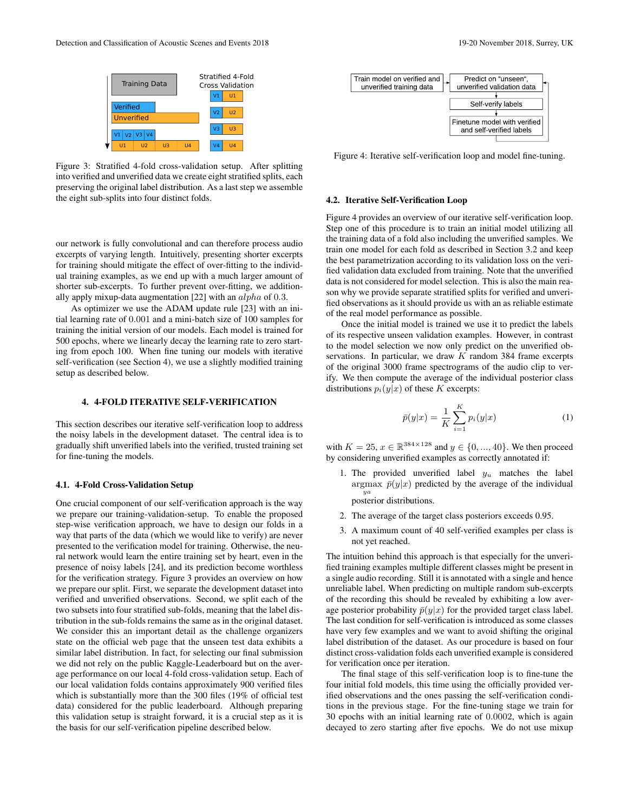

Figure 3: Stratified 4-fold cross-validation setup. After splitting into verified and unverified data we create eight stratified splits, each preserving the original label distribution. As a last step we assemble the eight sub-splits into four distinct folds.

our network is fully convolutional and can therefore process audio excerpts of varying length. Intuitively, presenting shorter excerpts for training should mitigate the effect of over-fitting to the individual training examples, as we end up with a much larger amount of shorter sub-excerpts. To further prevent over-fitting, we additionally apply mixup-data augmentation [22] with an alpha of 0.3.

As optimizer we use the ADAM update rule [23] with an initial learning rate of 0.001 and a mini-batch size of 100 samples for training the initial version of our models. Each model is trained for 500 epochs, where we linearly decay the learning rate to zero starting from epoch 100. When fine tuning our models with iterative self-verification (see Section 4), we use a slightly modified training setup as described below.

## 4. 4-FOLD ITERATIVE SELF-VERIFICATION

This section describes our iterative self-verification loop to address the noisy labels in the development dataset. The central idea is to gradually shift unverified labels into the verified, trusted training set for fine-tuning the models.

#### 4.1. 4-Fold Cross-Validation Setup

One crucial component of our self-verification approach is the way we prepare our training-validation-setup. To enable the proposed step-wise verification approach, we have to design our folds in a way that parts of the data (which we would like to verify) are never presented to the verification model for training. Otherwise, the neural network would learn the entire training set by heart, even in the presence of noisy labels [24], and its prediction become worthless for the verification strategy. Figure 3 provides an overview on how we prepare our split. First, we separate the development dataset into verified and unverified observations. Second, we split each of the two subsets into four stratified sub-folds, meaning that the label distribution in the sub-folds remains the same as in the original dataset. We consider this an important detail as the challenge organizers state on the official web page that the unseen test data exhibits a similar label distribution. In fact, for selecting our final submission we did not rely on the public Kaggle-Leaderboard but on the average performance on our local 4-fold cross-validation setup. Each of our local validation folds contains approximately 900 verified files which is substantially more than the 300 files (19% of official test data) considered for the public leaderboard. Although preparing this validation setup is straight forward, it is a crucial step as it is the basis for our self-verification pipeline described below.



Figure 4: Iterative self-verification loop and model fine-tuning.

#### 4.2. Iterative Self-Verification Loop

Figure 4 provides an overview of our iterative self-verification loop. Step one of this procedure is to train an initial model utilizing all the training data of a fold also including the unverified samples. We train one model for each fold as described in Section 3.2 and keep the best parametrization according to its validation loss on the verified validation data excluded from training. Note that the unverified data is not considered for model selection. This is also the main reason why we provide separate stratified splits for verified and unverified observations as it should provide us with an as reliable estimate of the real model performance as possible.

Once the initial model is trained we use it to predict the labels of its respective unseen validation examples. However, in contrast to the model selection we now only predict on the unverified observations. In particular, we draw  $K$  random 384 frame excerpts of the original 3000 frame spectrograms of the audio clip to verify. We then compute the average of the individual posterior class distributions  $p_i(y|x)$  of these K excerpts:

$$
\bar{p}(y|x) = \frac{1}{K} \sum_{i=1}^{K} p_i(y|x)
$$
 (1)

with  $K = 25, x \in \mathbb{R}^{384 \times 128}$  and  $y \in \{0, ..., 40\}$ . We then proceed by considering unverified examples as correctly annotated if:

- 1. The provided unverified label  $y_u$  matches the label argmax  $\bar{p}(y|x)$  predicted by the average of the individual ya posterior distributions.
- 2. The average of the target class posteriors exceeds 0.95.
- 3. A maximum count of 40 self-verified examples per class is not yet reached.

The intuition behind this approach is that especially for the unverified training examples multiple different classes might be present in a single audio recording. Still it is annotated with a single and hence unreliable label. When predicting on multiple random sub-excerpts of the recording this should be revealed by exhibiting a low average posterior probability  $\bar{p}(y|x)$  for the provided target class label. The last condition for self-verification is introduced as some classes have very few examples and we want to avoid shifting the original label distribution of the dataset. As our procedure is based on four distinct cross-validation folds each unverified example is considered for verification once per iteration.

The final stage of this self-verification loop is to fine-tune the four initial fold models, this time using the officially provided verified observations and the ones passing the self-verification conditions in the previous stage. For the fine-tuning stage we train for 30 epochs with an initial learning rate of 0.0002, which is again decayed to zero starting after five epochs. We do not use mixup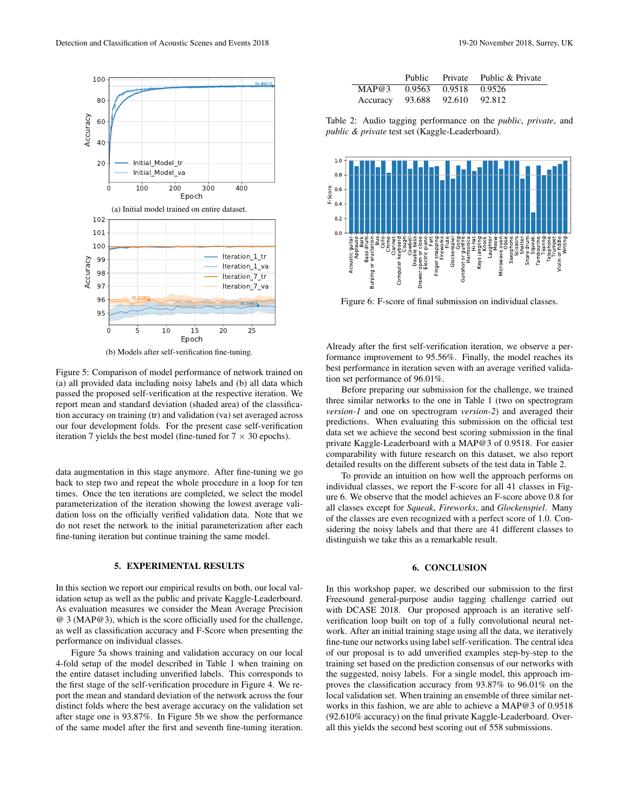

(b) Models after self-verification fine-tuning.

Figure 5: Comparison of model performance of network trained on (a) all provided data including noisy labels and (b) all data which passed the proposed self-verification at the respective iteration. We report mean and standard deviation (shaded area) of the classification accuracy on training (tr) and validation (va) set averaged across our four development folds. For the present case self-verification iteration 7 yields the best model (fine-tuned for  $7 \times 30$  epochs).

data augmentation in this stage anymore. After fine-tuning we go back to step two and repeat the whole procedure in a loop for ten times. Once the ten iterations are completed, we select the model parameterization of the iteration showing the lowest average validation loss on the officially verified validation data. Note that we do not reset the network to the initial parameterization after each fine-tuning iteration but continue training the same model.

### 5. EXPERIMENTAL RESULTS

In this section we report our empirical results on both, our local validation setup as well as the public and private Kaggle-Leaderboard. As evaluation measures we consider the Mean Average Precision @ 3 (MAP@3), which is the score officially used for the challenge, as well as classification accuracy and F-Score when presenting the performance on individual classes.

Figure 5a shows training and validation accuracy on our local 4-fold setup of the model described in Table 1 when training on the entire dataset including unverified labels. This corresponds to the first stage of the self-verification procedure in Figure 4. We report the mean and standard deviation of the network across the four distinct folds where the best average accuracy on the validation set after stage one is 93.87%. In Figure 5b we show the performance of the same model after the first and seventh fine-tuning iteration.

Table 2: Audio tagging performance on the *public*, *private*, and *public & private* test set (Kaggle-Leaderboard).

Accuracy 93.688 92.610 92.812



Figure 6: F-score of final submission on individual classes.

Already after the first self-verification iteration, we observe a performance improvement to 95.56%. Finally, the model reaches its best performance in iteration seven with an average verified validation set performance of 96.01%.

Before preparing our submission for the challenge, we trained three similar networks to the one in Table 1 (two on spectrogram *version-1* and one on spectrogram *version-2*) and averaged their predictions. When evaluating this submission on the official test data set we achieve the second best scoring submission in the final private Kaggle-Leaderboard with a MAP@3 of 0.9518. For easier comparability with future research on this dataset, we also report detailed results on the different subsets of the test data in Table 2.

To provide an intuition on how well the approach performs on individual classes, we report the F-score for all 41 classes in Figure 6. We observe that the model achieves an F-score above 0.8 for all classes except for *Squeak*, *Fireworks*, and *Glockenspiel*. Many of the classes are even recognized with a perfect score of 1.0. Considering the noisy labels and that there are 41 different classes to distinguish we take this as a remarkable result.

#### 6. CONCLUSION

In this workshop paper, we described our submission to the first Freesound general-purpose audio tagging challenge carried out with DCASE 2018. Our proposed approach is an iterative selfverification loop built on top of a fully convolutional neural network. After an initial training stage using all the data, we iteratively fine-tune our networks using label self-verification. The central idea of our proposal is to add unverified examples step-by-step to the training set based on the prediction consensus of our networks with the suggested, noisy labels. For a single model, this approach improves the classification accuracy from 93.87% to 96.01% on the local validation set. When training an ensemble of three similar networks in this fashion, we are able to achieve a MAP@3 of 0.9518 (92.610% accuracy) on the final private Kaggle-Leaderboard. Overall this yields the second best scoring out of 558 submissions.